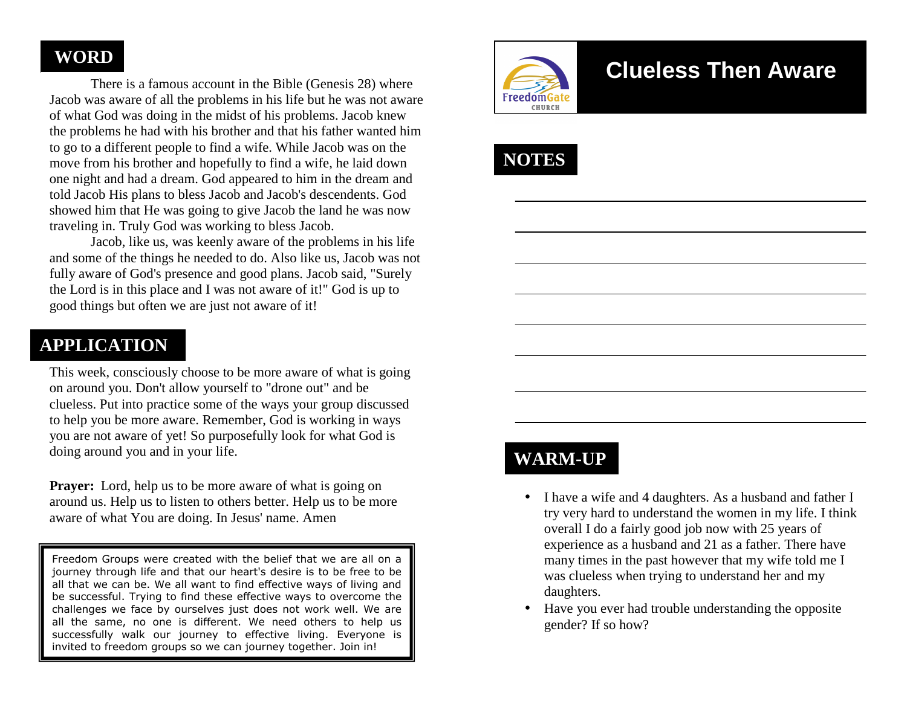## **WORD**

 There is a famous account in the Bible (Genesis 28) where Jacob was aware of all the problems in his life but he was not aware of what God was doing in the midst of his problems. Jacob knew the problems he had with his brother and that his father wanted him to go to a different people to find a wife. While Jacob was on the move from his brother and hopefully to find a wife, he laid down one night and had a dream. God appeared to him in the dream and told Jacob His plans to bless Jacob and Jacob's descendents. God showed him that He was going to give Jacob the land he was now traveling in. Truly God was working to bless Jacob.

 Jacob, like us, was keenly aware of the problems in his life and some of the things he needed to do. Also like us, Jacob was not fully aware of God's presence and good plans. Jacob said, "Surely the Lord is in this place and I was not aware of it!" God is up to good things but often we are just not aware of it!

## **APPLICATION**

This week, consciously choose to be more aware of what is going on around you. Don't allow yourself to "drone out" and be clueless. Put into practice some of the ways your group discussed to help you be more aware. Remember, God is working in ways you are not aware of yet! So purposefully look for what God is doing around you and in your life.

**Prayer:** Lord, help us to be more aware of what is going on around us. Help us to listen to others better. Help us to be more aware of what You are doing. In Jesus' name. Amen

Freedom Groups were created with the belief that we are all on a journey through life and that our heart's desire is to be free to be all that we can be. We all want to find effective ways of living and be successful. Trying to find these effective ways to overcome the challenges we face by ourselves just does not work well. We are all the same, no one is different. We need others to help us successfully walk our journey to effective living. Everyone is invited to freedom groups so we can journey together. Join in!



# **Clueless Then Aware**

# **NOTES**

## **WARM-UP**

- • I have a wife and 4 daughters. As a husband and father I try very hard to understand the women in my life. I think overall I do a fairly good job now with 25 years of experience as a husband and 21 as a father. There have many times in the past however that my wife told me I was clueless when trying to understand her and my daughters.
- Have you ever had trouble understanding the opposite gender? If so how?